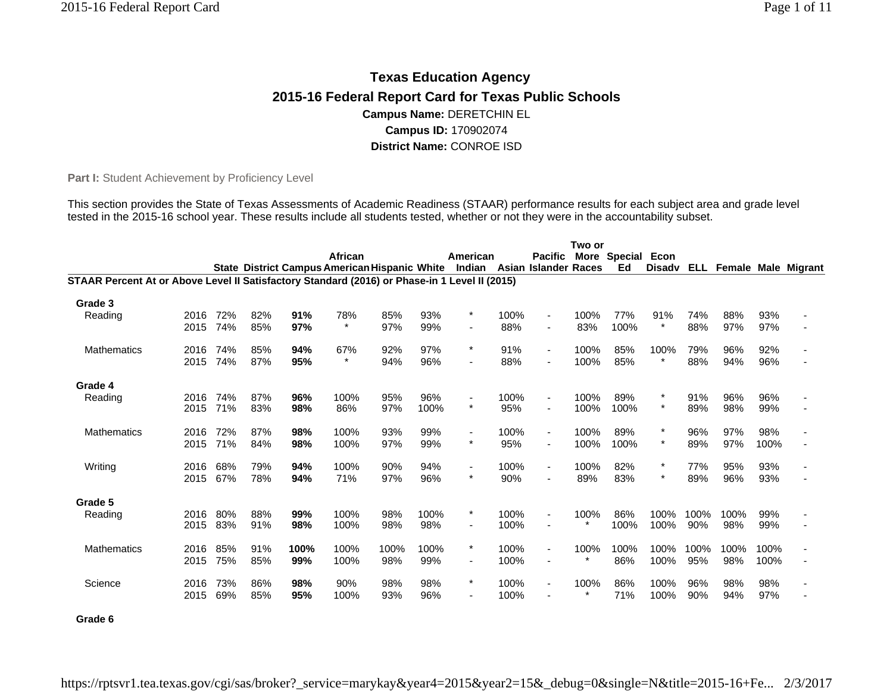# **Texas Education Agency 2015-16 Federal Report Card for Texas Public Schools Campus Name:** DERETCHIN EL **Campus ID:** 170902074 **District Name:** CONROE ISD

Part I: Student Achievement by Proficiency Level

This section provides the State of Texas Assessments of Academic Readiness (STAAR) performance results for each subject area and grade level tested in the 2015-16 school year. These results include all students tested, whether or not they were in the accountability subset.

|                                                                                               |      |     |     |      |         |      |      |                                                                           |      |                          | Two or  |              |            |      |      |      |                            |
|-----------------------------------------------------------------------------------------------|------|-----|-----|------|---------|------|------|---------------------------------------------------------------------------|------|--------------------------|---------|--------------|------------|------|------|------|----------------------------|
|                                                                                               |      |     |     |      | African |      |      | American                                                                  |      | <b>Pacific</b>           |         | More Special | Econ       |      |      |      |                            |
|                                                                                               |      |     |     |      |         |      |      | State District Campus American Hispanic White Indian Asian Islander Races |      |                          |         | Ed           | Disady ELL |      |      |      | <b>Female Male Migrant</b> |
| STAAR Percent At or Above Level II Satisfactory Standard (2016) or Phase-in 1 Level II (2015) |      |     |     |      |         |      |      |                                                                           |      |                          |         |              |            |      |      |      |                            |
| Grade 3                                                                                       |      |     |     |      |         |      |      |                                                                           |      |                          |         |              |            |      |      |      |                            |
| Reading                                                                                       | 2016 | 72% | 82% | 91%  | 78%     | 85%  | 93%  | $\star$                                                                   | 100% | $\blacksquare$           | 100%    | 77%          | 91%        | 74%  | 88%  | 93%  |                            |
|                                                                                               | 2015 | 74% | 85% | 97%  | $\star$ | 97%  | 99%  |                                                                           | 88%  |                          | 83%     | 100%         | $\star$    | 88%  | 97%  | 97%  |                            |
| <b>Mathematics</b>                                                                            | 2016 | 74% | 85% | 94%  | 67%     | 92%  | 97%  | $\ast$                                                                    | 91%  | $\blacksquare$           | 100%    | 85%          | 100%       | 79%  | 96%  | 92%  |                            |
|                                                                                               | 2015 | 74% | 87% | 95%  | $\star$ | 94%  | 96%  |                                                                           | 88%  |                          | 100%    | 85%          | $\star$    | 88%  | 94%  | 96%  |                            |
| Grade 4                                                                                       |      |     |     |      |         |      |      |                                                                           |      |                          |         |              |            |      |      |      |                            |
| Reading                                                                                       | 2016 | 74% | 87% | 96%  | 100%    | 95%  | 96%  |                                                                           | 100% | $\overline{\phantom{a}}$ | 100%    | 89%          |            | 91%  | 96%  | 96%  |                            |
|                                                                                               | 2015 | 71% | 83% | 98%  | 86%     | 97%  | 100% | $\star$                                                                   | 95%  |                          | 100%    | 100%         | $\star$    | 89%  | 98%  | 99%  |                            |
| <b>Mathematics</b>                                                                            | 2016 | 72% | 87% | 98%  | 100%    | 93%  | 99%  | ٠                                                                         | 100% | $\overline{\phantom{a}}$ | 100%    | 89%          |            | 96%  | 97%  | 98%  |                            |
|                                                                                               | 2015 | 71% | 84% | 98%  | 100%    | 97%  | 99%  | $\star$                                                                   | 95%  | $\overline{\phantom{a}}$ | 100%    | 100%         | $\star$    | 89%  | 97%  | 100% |                            |
| Writing                                                                                       | 2016 | 68% | 79% | 94%  | 100%    | 90%  | 94%  | $\blacksquare$                                                            | 100% | $\overline{\phantom{a}}$ | 100%    | 82%          |            | 77%  | 95%  | 93%  |                            |
|                                                                                               | 2015 | 67% | 78% | 94%  | 71%     | 97%  | 96%  | $\star$                                                                   | 90%  |                          | 89%     | 83%          | $\star$    | 89%  | 96%  | 93%  |                            |
| Grade 5                                                                                       |      |     |     |      |         |      |      |                                                                           |      |                          |         |              |            |      |      |      |                            |
| Reading                                                                                       | 2016 | 80% | 88% | 99%  | 100%    | 98%  | 100% | $^\ast$                                                                   | 100% | $\overline{\phantom{a}}$ | 100%    | 86%          | 100%       | 100% | 100% | 99%  |                            |
|                                                                                               | 2015 | 83% | 91% | 98%  | 100%    | 98%  | 98%  | -                                                                         | 100% | $\overline{\phantom{a}}$ |         | 100%         | 100%       | 90%  | 98%  | 99%  |                            |
| <b>Mathematics</b>                                                                            | 2016 | 85% | 91% | 100% | 100%    | 100% | 100% | $\ast$                                                                    | 100% | $\blacksquare$           | 100%    | 100%         | 100%       | 100% | 100% | 100% |                            |
|                                                                                               | 2015 | 75% | 85% | 99%  | 100%    | 98%  | 99%  | ٠                                                                         | 100% |                          | $\star$ | 86%          | 100%       | 95%  | 98%  | 100% |                            |
| Science                                                                                       | 2016 | 73% | 86% | 98%  | 90%     | 98%  | 98%  | $\star$                                                                   | 100% | $\blacksquare$           | 100%    | 86%          | 100%       | 96%  | 98%  | 98%  |                            |
|                                                                                               | 2015 | 69% | 85% | 95%  | 100%    | 93%  | 96%  | ٠                                                                         | 100% | $\overline{\phantom{a}}$ | $\star$ | 71%          | 100%       | 90%  | 94%  | 97%  |                            |
| Grade 6                                                                                       |      |     |     |      |         |      |      |                                                                           |      |                          |         |              |            |      |      |      |                            |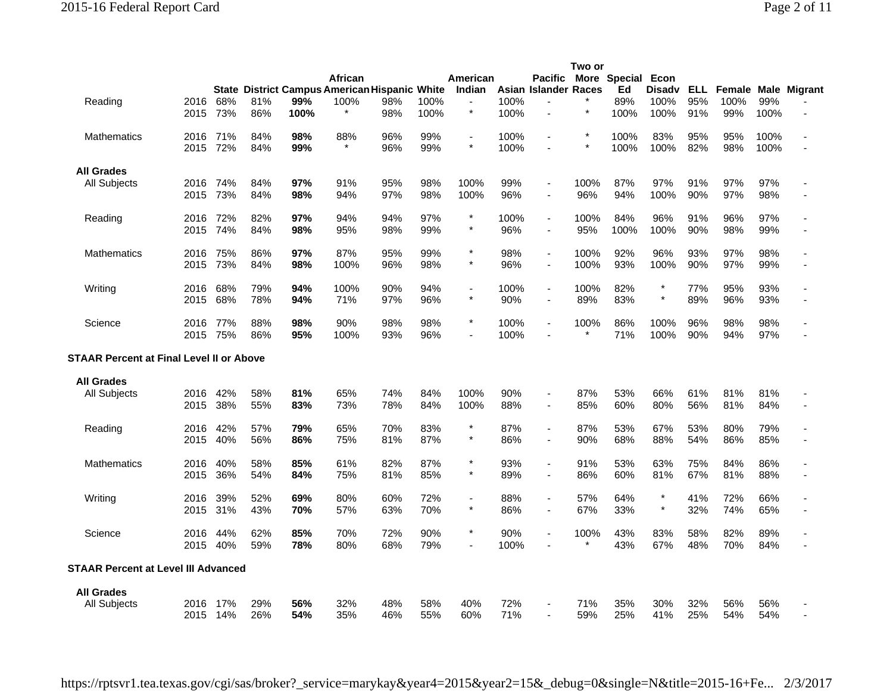|                                          |              |            |            |             | African                                                      |            |              | American                  |              | <b>Pacific</b>                             | Two or          | More Special Econ |                               |                     |                       |              |              |
|------------------------------------------|--------------|------------|------------|-------------|--------------------------------------------------------------|------------|--------------|---------------------------|--------------|--------------------------------------------|-----------------|-------------------|-------------------------------|---------------------|-----------------------|--------------|--------------|
| Reading                                  | 2016<br>2015 | 68%<br>73% | 81%<br>86% | 99%<br>100% | <b>State District Campus American Hispanic White</b><br>100% | 98%<br>98% | 100%<br>100% | Indian<br>$\star$         | 100%<br>100% | Asian Islander Races<br>$\overline{a}$     |                 | Ed<br>89%<br>100% | <b>Disadv</b><br>100%<br>100% | ELL .<br>95%<br>91% | Female<br>100%<br>99% | 99%<br>100%  | Male Migrant |
| Mathematics                              | 2016<br>2015 | 71%<br>72% | 84%<br>84% | 98%<br>99%  | 88%                                                          | 96%<br>96% | 99%<br>99%   | $\blacksquare$<br>$\star$ | 100%<br>100% | $\overline{a}$                             |                 | 100%<br>100%      | 83%<br>100%                   | 95%<br>82%          | 95%<br>98%            | 100%<br>100% |              |
| <b>All Grades</b>                        |              |            |            |             |                                                              |            |              |                           |              |                                            |                 |                   |                               |                     |                       |              |              |
| All Subjects                             | 2016<br>2015 | 74%<br>73% | 84%<br>84% | 97%<br>98%  | 91%<br>94%                                                   | 95%<br>97% | 98%<br>98%   | 100%<br>100%              | 99%<br>96%   |                                            | 100%<br>96%     | 87%<br>94%        | 97%<br>100%                   | 91%<br>90%          | 97%<br>97%            | 97%<br>98%   |              |
| Reading                                  | 2016<br>2015 | 72%<br>74% | 82%<br>84% | 97%<br>98%  | 94%<br>95%                                                   | 94%<br>98% | 97%<br>99%   | $\star$                   | 100%<br>96%  | $\blacksquare$<br>$\blacksquare$           | 100%<br>95%     | 84%<br>100%       | 96%<br>100%                   | 91%<br>90%          | 96%<br>98%            | 97%<br>99%   |              |
| <b>Mathematics</b>                       | 2016<br>2015 | 75%<br>73% | 86%<br>84% | 97%<br>98%  | 87%<br>100%                                                  | 95%<br>96% | 99%<br>98%   | $\star$<br>$\star$        | 98%<br>96%   | $\blacksquare$<br>$\blacksquare$           | 100%<br>100%    | 92%<br>93%        | 96%<br>100%                   | 93%<br>90%          | 97%<br>97%            | 98%<br>99%   |              |
| Writing                                  | 2016<br>2015 | 68%<br>68% | 79%<br>78% | 94%<br>94%  | 100%<br>71%                                                  | 90%<br>97% | 94%<br>96%   | ÷,<br>$\star$             | 100%<br>90%  | $\blacksquare$<br>$\sim$                   | 100%<br>89%     | 82%<br>83%        | $\star$                       | 77%<br>89%          | 95%<br>96%            | 93%<br>93%   |              |
| Science                                  | 2016<br>2015 | 77%<br>75% | 88%<br>86% | 98%<br>95%  | 90%<br>100%                                                  | 98%<br>93% | 98%<br>96%   | $\star$                   | 100%<br>100% |                                            | 100%<br>$^\ast$ | 86%<br>71%        | 100%<br>100%                  | 96%<br>90%          | 98%<br>94%            | 98%<br>97%   |              |
| STAAR Percent at Final Level II or Above |              |            |            |             |                                                              |            |              |                           |              |                                            |                 |                   |                               |                     |                       |              |              |
| <b>All Grades</b>                        |              |            |            |             |                                                              |            |              |                           |              |                                            |                 |                   |                               |                     |                       |              |              |
| All Subjects                             | 2016<br>2015 | 42%<br>38% | 58%<br>55% | 81%<br>83%  | 65%<br>73%                                                   | 74%<br>78% | 84%<br>84%   | 100%<br>100%              | 90%<br>88%   | $\blacksquare$<br>$\overline{\phantom{a}}$ | 87%<br>85%      | 53%<br>60%        | 66%<br>80%                    | 61%<br>56%          | 81%<br>81%            | 81%<br>84%   |              |
| Reading                                  | 2016<br>2015 | 42%<br>40% | 57%<br>56% | 79%<br>86%  | 65%<br>75%                                                   | 70%<br>81% | 83%<br>87%   |                           | 87%<br>86%   | $\sim$<br>$\blacksquare$                   | 87%<br>90%      | 53%<br>68%        | 67%<br>88%                    | 53%<br>54%          | 80%<br>86%            | 79%<br>85%   |              |
| Mathematics                              | 2016<br>2015 | 40%<br>36% | 58%<br>54% | 85%<br>84%  | 61%<br>75%                                                   | 82%<br>81% | 87%<br>85%   | $\star$                   | 93%<br>89%   | $\overline{\phantom{a}}$                   | 91%<br>86%      | 53%<br>60%        | 63%<br>81%                    | 75%<br>67%          | 84%<br>81%            | 86%<br>88%   |              |
| Writing                                  | 2016<br>2015 | 39%<br>31% | 52%<br>43% | 69%<br>70%  | 80%<br>57%                                                   | 60%<br>63% | 72%<br>70%   | $\star$                   | 88%<br>86%   | $\overline{\phantom{a}}$                   | 57%<br>67%      | 64%<br>33%        | $\star$<br>$\star$            | 41%<br>32%          | 72%<br>74%            | 66%<br>65%   |              |
| Science                                  | 2016<br>2015 | 44%<br>40% | 62%<br>59% | 85%<br>78%  | 70%<br>80%                                                   | 72%<br>68% | 90%<br>79%   | $\star$                   | 90%<br>100%  |                                            | 100%            | 43%<br>43%        | 83%<br>67%                    | 58%<br>48%          | 82%<br>70%            | 89%<br>84%   |              |
| STAAR Percent at Level III Advanced      |              |            |            |             |                                                              |            |              |                           |              |                                            |                 |                   |                               |                     |                       |              |              |
| <b>All Grades</b><br><b>All Subjects</b> | 2016<br>2015 | 17%<br>14% | 29%<br>26% | 56%<br>54%  | 32%<br>35%                                                   | 48%<br>46% | 58%<br>55%   | 40%<br>60%                | 72%<br>71%   |                                            | 71%<br>59%      | 35%<br>25%        | 30%<br>41%                    | 32%<br>25%          | 56%<br>54%            | 56%<br>54%   |              |
|                                          |              |            |            |             |                                                              |            |              |                           |              |                                            |                 |                   |                               |                     |                       |              |              |

https://rptsvr1.tea.texas.gov/cgi/sas/broker?\_service=marykay&year4=2015&year2=15&\_debug=0&single=N&title=2015-16+Fe... 2/3/2017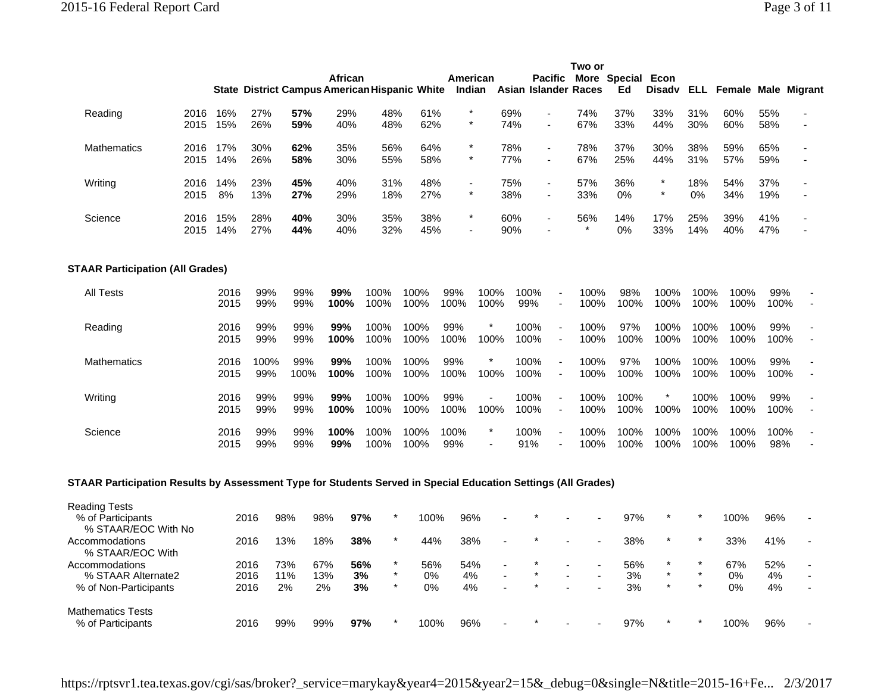|                                                                                                               |              |              |                      |                         |             |                                                   |                                                      |                    |              |                                                            | Two or                   |                         |                    |              |                            |                 |  |
|---------------------------------------------------------------------------------------------------------------|--------------|--------------|----------------------|-------------------------|-------------|---------------------------------------------------|------------------------------------------------------|--------------------|--------------|------------------------------------------------------------|--------------------------|-------------------------|--------------------|--------------|----------------------------|-----------------|--|
|                                                                                                               |              |              |                      |                         | African     |                                                   | <b>State District Campus American Hispanic White</b> | American<br>Indian |              | <b>Pacific</b><br>Asian Islander Races                     |                          | More Special Econ<br>Ed | <b>Disadv</b>      | ELL I        | <b>Female Male Migrant</b> |                 |  |
| Reading                                                                                                       | 2016<br>2015 | 16%<br>15%   | 27%<br>26%           | 57%<br>59%              | 29%<br>40%  | 48%<br>48%                                        | 61%<br>62%                                           | $\star$            | 69%<br>74%   | $\blacksquare$                                             | 74%<br>67%               | 37%<br>33%              | 33%<br>44%         | 31%<br>30%   | 60%<br>60%                 | 55%<br>58%      |  |
| Mathematics                                                                                                   | 2016<br>2015 | 17%<br>14%   | 30%<br>26%           | 62%<br>58%              | 35%<br>30%  | 56%<br>55%                                        | 64%<br>58%                                           |                    | 78%<br>77%   | ÷.                                                         | 78%<br>67%               | 37%<br>25%              | 30%<br>44%         | 38%<br>31%   | 59%<br>57%                 | 65%<br>59%      |  |
| Writing                                                                                                       | 2016<br>2015 | 14%<br>8%    | 23%<br>13%           | 45%<br>27%              | 40%<br>29%  | 31%<br>18%                                        | 48%<br>27%                                           | $\ast$             | 75%<br>38%   | $\overline{\phantom{a}}$                                   | 57%<br>33%               | 36%<br>0%               | $\ast$<br>$\ast$   | 18%<br>0%    | 54%<br>34%                 | 37%<br>19%      |  |
| Science                                                                                                       | 2016<br>2015 | 15%<br>14%   | 28%<br>27%           | 40%<br>44%              | 30%<br>40%  | 35%<br>32%                                        | 38%<br>45%                                           |                    | 60%<br>90%   | $\blacksquare$                                             | 56%                      | 14%<br>0%               | 17%<br>33%         | 25%<br>14%   | 39%<br>40%                 | 41%<br>47%      |  |
| <b>STAAR Participation (All Grades)</b>                                                                       |              |              |                      |                         |             |                                                   |                                                      |                    |              |                                                            |                          |                         |                    |              |                            |                 |  |
| All Tests                                                                                                     |              | 2016<br>2015 | 99%<br>99%           | 99%<br>99%              | 99%<br>100% | 100%<br>100%                                      | 100%<br>100%                                         | 99%<br>100%        | 100%<br>100% | 100%<br>99%<br>$\overline{\phantom{a}}$                    | 100%<br>100%             | 98%<br>100%             | 100%<br>100%       | 100%<br>100% | 100%<br>100%               | 99%<br>100%     |  |
| Reading                                                                                                       |              | 2016<br>2015 | 99%<br>99%           | 99%<br>99%              | 99%<br>100% | 100%<br>100%                                      | 100%<br>100%                                         | 99%<br>100%        | 100%         | 100%<br>$\blacksquare$<br>100%<br>$\overline{\phantom{a}}$ | 100%<br>100%             | 97%<br>100%             | 100%<br>100%       | 100%<br>100% | 100%<br>100%               | 99%<br>100%     |  |
| <b>Mathematics</b>                                                                                            |              | 2016<br>2015 | 100%<br>99%          | 99%<br>100%             | 99%<br>100% | 100%<br>100%                                      | 100%<br>100%                                         | 99%<br>100%        | 100%         | 100%<br>100%                                               | 100%<br>100%             | 97%<br>100%             | 100%<br>100%       | 100%<br>100% | 100%<br>100%               | 99%<br>100%     |  |
| Writing                                                                                                       |              | 2016<br>2015 | 99%<br>99%           | 99%<br>99%              | 99%<br>100% | 100%<br>100%                                      | 100%<br>100%                                         | 99%<br>100%        | 100%         | 100%<br>100%                                               | 100%<br>100%             | 100%<br>100%            | 100%               | 100%<br>100% | 100%<br>100%               | 99%<br>100%     |  |
| Science                                                                                                       |              | 2016<br>2015 | 99%<br>99%           | 99%<br>99%              | 100%<br>99% | 100%<br>100%                                      | 100%<br>100%                                         | 100%<br>99%        |              | 100%<br>÷,<br>91%<br>$\overline{\phantom{a}}$              | 100%<br>100%             | 100%<br>100%            | 100%<br>100%       | 100%<br>100% | 100%<br>100%               | 100%<br>98%     |  |
| STAAR Participation Results by Assessment Type for Students Served in Special Education Settings (All Grades) |              |              |                      |                         |             |                                                   |                                                      |                    |              |                                                            |                          |                         |                    |              |                            |                 |  |
| Reading Tests<br>% of Participants<br>% STAAR/EOC With No                                                     |              |              | 2016                 | 98%                     | 97%<br>98%  | $\star$                                           | 100%                                                 | 96%                |              |                                                            |                          | 97%                     | *                  |              | 100%                       | 96%             |  |
| Accommodations<br>% STAAR/EOC With                                                                            |              |              | 2016                 | 13%                     | 18%         | $\star$<br>38%                                    | 44%                                                  | 38%                |              |                                                            |                          | 38%                     | $\star$            | $\star$      | 33%                        | 41%             |  |
| Accommodations<br>% STAAR Alternate2<br>% of Non-Participants                                                 |              |              | 2016<br>2016<br>2016 | 73%<br>67%<br>11%<br>2% | 13%<br>2%   | $^\star$<br>56%<br>$\star$<br>3%<br>$\star$<br>3% | 56%<br>0%<br>0%                                      | 54%<br>4%<br>4%    |              |                                                            | $\blacksquare$<br>$\sim$ | 56%<br>3%<br>3%         | $\star$<br>$\star$ |              | 67%<br>0%<br>0%            | 52%<br>4%<br>4% |  |
| Mathematics Tests                                                                                             |              |              |                      |                         |             |                                                   |                                                      |                    |              |                                                            |                          |                         |                    |              |                            |                 |  |

https://rptsvr1.tea.texas.gov/cgi/sas/broker?\_service=marykay&year4=2015&year2=15&\_debug=0&single=N&title=2015-16+Fe... 2/3/2017

% of Participants 2016 99% 99% **97%** \* 100% 96% - \* - - 97% \* \* 100% 96% -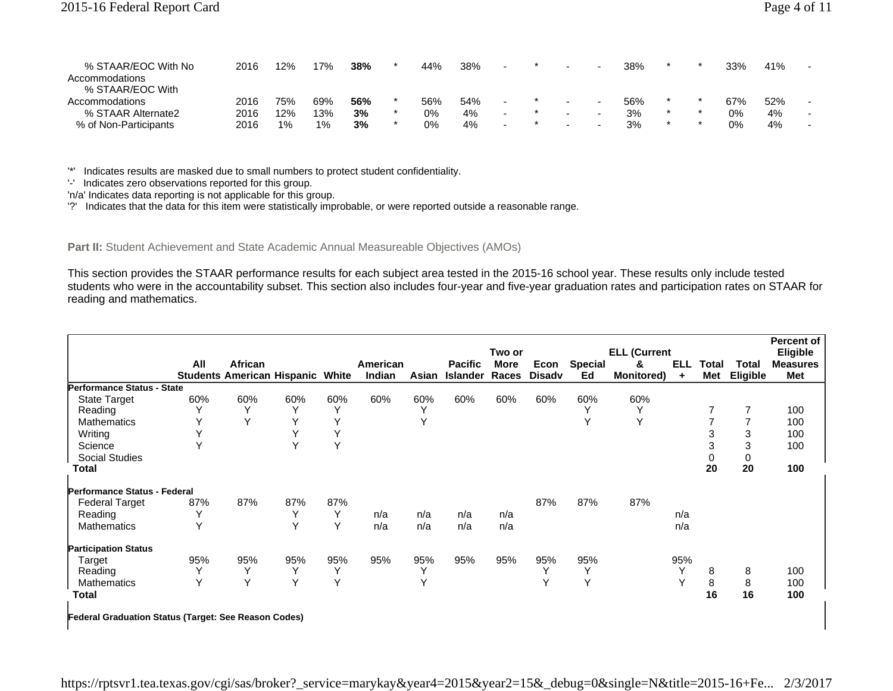| % STAAR/EOC With No<br>Accommodations<br>% STAAR/EOC With | 2016 | 12% | 7%  | 38% | 44% | 38% | $\overline{\phantom{a}}$ | $\overline{\phantom{0}}$ | $\overline{\phantom{0}}$ | 38% |  | 33%   | 41% | $\overline{\phantom{a}}$ |
|-----------------------------------------------------------|------|-----|-----|-----|-----|-----|--------------------------|--------------------------|--------------------------|-----|--|-------|-----|--------------------------|
| Accommodations                                            | 2016 | 75% | 69% | 56% | 56% | 54% | $\sim$                   | $\overline{\phantom{0}}$ | $\overline{\phantom{a}}$ | 56% |  | 67%   | 52% | $\overline{\phantom{a}}$ |
| % STAAR Alternate2                                        | 2016 | 12% | '3% | 3%  | 0%  | 4%  | $\sim$                   | $\overline{\phantom{0}}$ |                          | 3%  |  | 0%    | 4%  | $\overline{\phantom{0}}$ |
| % of Non-Participants                                     | 2016 | 1%  | 1%  | 3%  | 0%  | 4%  |                          | $\overline{\phantom{0}}$ |                          | 3%  |  | $0\%$ | 4%  |                          |

'\*' Indicates results are masked due to small numbers to protect student confidentiality.

'-' Indicates zero observations reported for this group.

'n/a' Indicates data reporting is not applicable for this group.

'?' Indicates that the data for this item were statistically improbable, or were reported outside a reasonable range.

Part II: Student Achievement and State Academic Annual Measureable Objectives (AMOs)

This section provides the STAAR performance results for each subject area tested in the 2015-16 school year. These results only include tested students who were in the accountability subset. This section also includes four-year and five-year graduation rates and participation rates on STAAR for reading and mathematics.

|                                                             |     |                                                    |     |     |                    |              |                                   | Two or               |                       |                      | <b>ELL (Current</b>    |                         |              |                          | Percent of<br>Eligible |
|-------------------------------------------------------------|-----|----------------------------------------------------|-----|-----|--------------------|--------------|-----------------------------------|----------------------|-----------------------|----------------------|------------------------|-------------------------|--------------|--------------------------|------------------------|
|                                                             | All | African<br><b>Students American Hispanic White</b> |     |     | American<br>Indian | Asian        | <b>Pacific</b><br><b>Islander</b> | <b>More</b><br>Races | Econ<br><b>Disadv</b> | <b>Special</b><br>Ed | &<br><b>Monitored)</b> | <b>ELL</b><br>$\ddot{}$ | Total<br>Met | Total<br><b>Eligible</b> | <b>Measures</b><br>Met |
| Performance Status - State                                  |     |                                                    |     |     |                    |              |                                   |                      |                       |                      |                        |                         |              |                          |                        |
| <b>State Target</b>                                         | 60% | 60%                                                | 60% | 60% | 60%                | 60%          | 60%                               | 60%                  | 60%                   | 60%                  | 60%                    |                         |              |                          |                        |
| Reading                                                     |     |                                                    | Υ   | Υ   |                    |              |                                   |                      |                       | $\check{ }$          | $\checkmark$           |                         | 7            |                          | 100                    |
| <b>Mathematics</b>                                          | Υ   |                                                    | Y   | Y   |                    | Y            |                                   |                      |                       | Υ                    | Y                      |                         |              |                          | 100                    |
| Writing                                                     |     |                                                    | Υ   | Υ   |                    |              |                                   |                      |                       |                      |                        |                         | 3            | 3                        | 100                    |
| Science                                                     |     |                                                    | Υ   | Y   |                    |              |                                   |                      |                       |                      |                        |                         | 3            | 3                        | 100                    |
| <b>Social Studies</b>                                       |     |                                                    |     |     |                    |              |                                   |                      |                       |                      |                        |                         |              |                          |                        |
| Total                                                       |     |                                                    |     |     |                    |              |                                   |                      |                       |                      |                        |                         | 20           | 20                       | 100                    |
| Performance Status - Federal                                |     |                                                    |     |     |                    |              |                                   |                      |                       |                      |                        |                         |              |                          |                        |
| <b>Federal Target</b>                                       | 87% | 87%                                                | 87% | 87% |                    |              |                                   |                      | 87%                   | 87%                  | 87%                    |                         |              |                          |                        |
| Reading                                                     | Υ   |                                                    | Y   | Y   | n/a                | n/a          | n/a                               | n/a                  |                       |                      |                        | n/a                     |              |                          |                        |
| <b>Mathematics</b>                                          | Υ   |                                                    | Y   | Y   | n/a                | n/a          | n/a                               | n/a                  |                       |                      |                        | n/a                     |              |                          |                        |
| <b>Participation Status</b>                                 |     |                                                    |     |     |                    |              |                                   |                      |                       |                      |                        |                         |              |                          |                        |
| Target                                                      | 95% | 95%                                                | 95% | 95% | 95%                | 95%          | 95%                               | 95%                  | 95%                   | 95%                  |                        | 95%                     |              |                          |                        |
| Reading                                                     | Y   | Y                                                  | Υ   | Y   |                    | Y            |                                   |                      | Υ                     | Y                    |                        | Y                       | 8            | 8                        | 100                    |
| <b>Mathematics</b>                                          | v   | $\checkmark$                                       | Y   | Y   |                    | $\checkmark$ |                                   |                      | $\checkmark$          | Y                    |                        | $\checkmark$            | 8            | 8                        | 100                    |
| Total                                                       |     |                                                    |     |     |                    |              |                                   |                      |                       |                      |                        |                         | 16           | 16                       | 100                    |
| <b>Federal Graduation Status (Target: See Reason Codes)</b> |     |                                                    |     |     |                    |              |                                   |                      |                       |                      |                        |                         |              |                          |                        |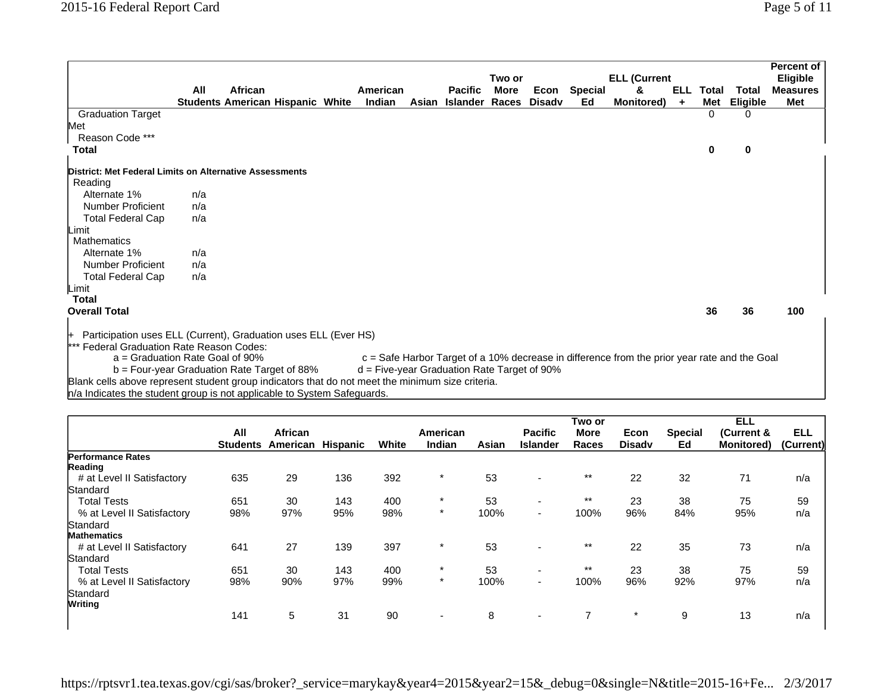|                                                                                                  | All | African<br><b>Students American Hispanic White</b> |  | American<br>Indian                            | Asian | <b>Pacific</b><br>Islander | Two or<br>More<br>Races | <b>Disadv</b> | Econ Special<br>Ed | <b>ELL (Current</b><br>&<br><b>Monitored</b> )                                                 | ELL.<br>$\ddot{}$ | Total<br>Met | Total<br>Eligible | <b>Percent of</b><br><b>Eligible</b><br><b>Measures</b><br>Met |
|--------------------------------------------------------------------------------------------------|-----|----------------------------------------------------|--|-----------------------------------------------|-------|----------------------------|-------------------------|---------------|--------------------|------------------------------------------------------------------------------------------------|-------------------|--------------|-------------------|----------------------------------------------------------------|
| <b>Graduation Target</b>                                                                         |     |                                                    |  |                                               |       |                            |                         |               |                    |                                                                                                |                   | $\Omega$     |                   |                                                                |
| Met                                                                                              |     |                                                    |  |                                               |       |                            |                         |               |                    |                                                                                                |                   |              |                   |                                                                |
| Reason Code ***                                                                                  |     |                                                    |  |                                               |       |                            |                         |               |                    |                                                                                                |                   |              |                   |                                                                |
| Total                                                                                            |     |                                                    |  |                                               |       |                            |                         |               |                    |                                                                                                |                   |              | 0                 |                                                                |
| District: Met Federal Limits on Alternative Assessments                                          |     |                                                    |  |                                               |       |                            |                         |               |                    |                                                                                                |                   |              |                   |                                                                |
| Reading                                                                                          |     |                                                    |  |                                               |       |                            |                         |               |                    |                                                                                                |                   |              |                   |                                                                |
| Alternate 1%                                                                                     | n/a |                                                    |  |                                               |       |                            |                         |               |                    |                                                                                                |                   |              |                   |                                                                |
| <b>Number Proficient</b>                                                                         | n/a |                                                    |  |                                               |       |                            |                         |               |                    |                                                                                                |                   |              |                   |                                                                |
| <b>Total Federal Cap</b>                                                                         | n/a |                                                    |  |                                               |       |                            |                         |               |                    |                                                                                                |                   |              |                   |                                                                |
| Limit                                                                                            |     |                                                    |  |                                               |       |                            |                         |               |                    |                                                                                                |                   |              |                   |                                                                |
| Mathematics                                                                                      |     |                                                    |  |                                               |       |                            |                         |               |                    |                                                                                                |                   |              |                   |                                                                |
| Alternate 1%                                                                                     | n/a |                                                    |  |                                               |       |                            |                         |               |                    |                                                                                                |                   |              |                   |                                                                |
| <b>Number Proficient</b>                                                                         | n/a |                                                    |  |                                               |       |                            |                         |               |                    |                                                                                                |                   |              |                   |                                                                |
| <b>Total Federal Cap</b>                                                                         | n/a |                                                    |  |                                               |       |                            |                         |               |                    |                                                                                                |                   |              |                   |                                                                |
| Limit                                                                                            |     |                                                    |  |                                               |       |                            |                         |               |                    |                                                                                                |                   |              |                   |                                                                |
| Total                                                                                            |     |                                                    |  |                                               |       |                            |                         |               |                    |                                                                                                |                   |              |                   |                                                                |
| <b>Overall Total</b>                                                                             |     |                                                    |  |                                               |       |                            |                         |               |                    |                                                                                                |                   | 36           | 36                | 100                                                            |
| Participation uses ELL (Current), Graduation uses ELL (Ever HS)<br>⊬                             |     |                                                    |  |                                               |       |                            |                         |               |                    |                                                                                                |                   |              |                   |                                                                |
| *** Federal Graduation Rate Reason Codes:                                                        |     |                                                    |  |                                               |       |                            |                         |               |                    |                                                                                                |                   |              |                   |                                                                |
| $a =$ Graduation Rate Goal of 90%                                                                |     |                                                    |  |                                               |       |                            |                         |               |                    | $c =$ Safe Harbor Target of a 10% decrease in difference from the prior year rate and the Goal |                   |              |                   |                                                                |
| b = Four-year Graduation Rate Target of 88%                                                      |     |                                                    |  | $d =$ Five-year Graduation Rate Target of 90% |       |                            |                         |               |                    |                                                                                                |                   |              |                   |                                                                |
| Blank cells above represent student group indicators that do not meet the minimum size criteria. |     |                                                    |  |                                               |       |                            |                         |               |                    |                                                                                                |                   |              |                   |                                                                |

n/a Indicates the student group is not applicable to System Safeguards.

|                                     | All | African                           |     |       | American                 |       | <b>Pacific</b>           | Two or<br><b>More</b> | Econ          | <b>Special</b> | <b>ELL</b><br>(Current & | <b>ELL</b> |
|-------------------------------------|-----|-----------------------------------|-----|-------|--------------------------|-------|--------------------------|-----------------------|---------------|----------------|--------------------------|------------|
|                                     |     | <b>Students American Hispanic</b> |     | White | Indian                   | Asian | <b>Islander</b>          | Races                 | <b>Disady</b> | Ed             | <b>Monitored)</b>        | (Current)  |
| <b>Performance Rates</b><br>Reading |     |                                   |     |       |                          |       |                          |                       |               |                |                          |            |
| # at Level II Satisfactory          | 635 | 29                                | 136 | 392   | $\star$                  | 53    | $\overline{\phantom{0}}$ | $***$                 | 22            | 32             | 71                       | n/a        |
| Standard                            |     |                                   |     |       |                          |       |                          |                       |               |                |                          |            |
| <b>Total Tests</b>                  | 651 | 30                                | 143 | 400   | $\star$                  | 53    | $\overline{\phantom{0}}$ | $***$                 | 23            | 38             | 75                       | 59         |
| % at Level II Satisfactory          | 98% | 97%                               | 95% | 98%   | $\star$                  | 100%  | $\sim$                   | 100%                  | 96%           | 84%            | 95%                      | n/a        |
| Standard                            |     |                                   |     |       |                          |       |                          |                       |               |                |                          |            |
| <b>Mathematics</b>                  |     |                                   |     |       |                          |       |                          |                       |               |                |                          |            |
| # at Level II Satisfactory          | 641 | 27                                | 139 | 397   | $\star$                  | 53    |                          | $***$                 | 22            | 35             | 73                       | n/a        |
| Standard                            |     |                                   |     |       |                          |       |                          |                       |               |                |                          |            |
| <b>Total Tests</b>                  | 651 | 30                                | 143 | 400   | $\star$                  | 53    | $\overline{\phantom{a}}$ | $***$                 | 23            | 38             | 75                       | 59         |
| % at Level II Satisfactory          | 98% | 90%                               | 97% | 99%   | $\star$                  | 100%  | $\sim$                   | 100%                  | 96%           | 92%            | 97%                      | n/a        |
| Standard                            |     |                                   |     |       |                          |       |                          |                       |               |                |                          |            |
| <b>Writing</b>                      |     |                                   |     |       |                          |       |                          |                       |               |                |                          |            |
|                                     | 141 | 5                                 | 31  | 90    | $\overline{\phantom{0}}$ | 8     | $\overline{\phantom{0}}$ |                       | $\star$       | 9              | 13                       | n/a        |

https://rptsvr1.tea.texas.gov/cgi/sas/broker?\_service=marykay&year4=2015&year2=15&\_debug=0&single=N&title=2015-16+Fe... 2/3/2017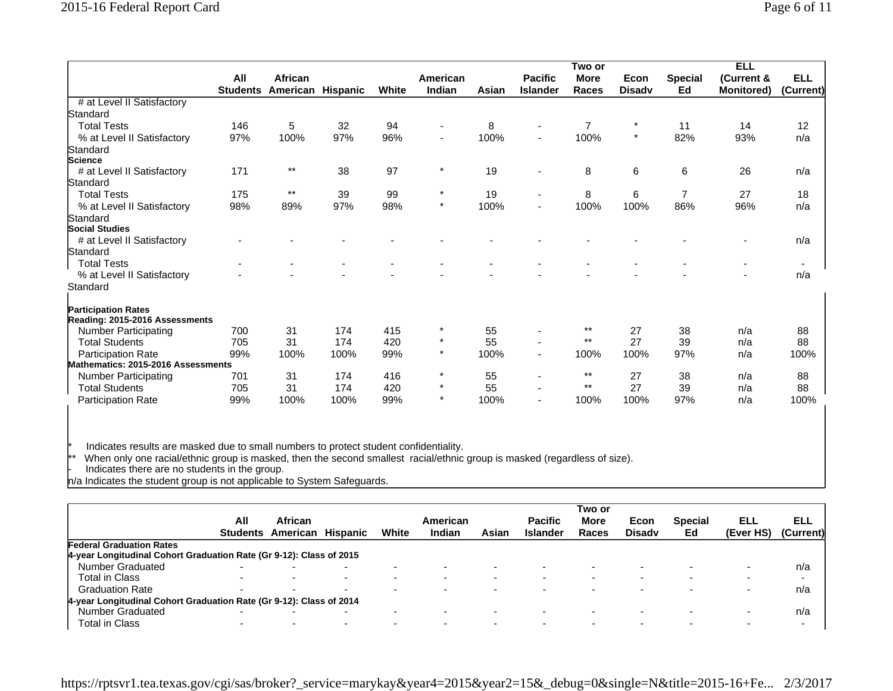|                                    |                        |                              |      |       |                     |       |                                   | Two or                      |                       |                      | <b>ELL</b>                      |                         |
|------------------------------------|------------------------|------------------------------|------|-------|---------------------|-------|-----------------------------------|-----------------------------|-----------------------|----------------------|---------------------------------|-------------------------|
|                                    | All<br><b>Students</b> | African<br>American Hispanic |      | White | American<br>Indian  | Asian | <b>Pacific</b><br><b>Islander</b> | <b>More</b><br><b>Races</b> | Econ<br><b>Disady</b> | <b>Special</b><br>Ed | (Current &<br><b>Monitored)</b> | <b>ELL</b><br>(Current) |
| # at Level II Satisfactory         |                        |                              |      |       |                     |       |                                   |                             |                       |                      |                                 |                         |
| Standard                           |                        |                              |      |       |                     |       |                                   |                             |                       |                      |                                 |                         |
| <b>Total Tests</b>                 | 146                    | 5                            | 32   | 94    |                     | 8     | $\overline{\phantom{a}}$          | $\overline{7}$              | $\star$               | 11                   | 14                              | 12                      |
| % at Level II Satisfactory         | 97%                    | 100%                         | 97%  | 96%   |                     | 100%  | ٠                                 | 100%                        | $\ast$                | 82%                  | 93%                             | n/a                     |
| Standard                           |                        |                              |      |       |                     |       |                                   |                             |                       |                      |                                 |                         |
| Science                            |                        |                              |      |       |                     |       |                                   |                             |                       |                      |                                 |                         |
| # at Level II Satisfactory         | 171                    | $***$                        | 38   | 97    | $\star$             | 19    | $\overline{\phantom{a}}$          | 8                           | 6                     | 6                    | 26                              | n/a                     |
| Standard                           |                        |                              |      |       |                     |       |                                   |                             |                       |                      |                                 |                         |
| <b>Total Tests</b>                 | 175                    | $***$                        | 39   | 99    | $\ast$              | 19    | $\blacksquare$                    | 8                           | 6                     | $\overline{7}$       | 27                              | 18                      |
| % at Level II Satisfactory         | 98%                    | 89%                          | 97%  | 98%   | $\star$             | 100%  | $\blacksquare$                    | 100%                        | 100%                  | 86%                  | 96%                             | n/a                     |
| Standard                           |                        |                              |      |       |                     |       |                                   |                             |                       |                      |                                 |                         |
| <b>Social Studies</b>              |                        |                              |      |       |                     |       |                                   |                             |                       |                      |                                 |                         |
| # at Level II Satisfactory         |                        |                              |      |       |                     |       |                                   |                             |                       |                      |                                 | n/a                     |
| Standard                           |                        |                              |      |       |                     |       |                                   |                             |                       |                      |                                 |                         |
| <b>Total Tests</b>                 |                        |                              |      |       |                     |       |                                   |                             |                       |                      |                                 |                         |
| % at Level II Satisfactory         |                        |                              |      |       |                     |       |                                   |                             |                       |                      |                                 | n/a                     |
| Standard                           |                        |                              |      |       |                     |       |                                   |                             |                       |                      |                                 |                         |
| <b>Participation Rates</b>         |                        |                              |      |       |                     |       |                                   |                             |                       |                      |                                 |                         |
| Reading: 2015-2016 Assessments     |                        |                              |      |       | $\star$             |       |                                   | $***$                       |                       |                      |                                 |                         |
| Number Participating               | 700                    | 31                           | 174  | 415   |                     | 55    |                                   | $***$                       | 27                    | 38                   | n/a                             | 88                      |
| <b>Total Students</b>              | 705                    | 31                           | 174  | 420   | $\star$             | 55    | ٠                                 |                             | 27                    | 39                   | n/a                             | 88                      |
| <b>Participation Rate</b>          | 99%                    | 100%                         | 100% | 99%   | $\star$             | 100%  | $\overline{\phantom{a}}$          | 100%                        | 100%                  | 97%                  | n/a                             | 100%                    |
| Mathematics: 2015-2016 Assessments |                        |                              |      |       |                     |       |                                   | $***$                       |                       |                      |                                 |                         |
| Number Participating               | 701                    | 31                           | 174  | 416   | $^\star$<br>$\star$ | 55    | $\blacksquare$                    | $***$                       | 27                    | 38                   | n/a                             | 88                      |
| <b>Total Students</b>              | 705                    | 31                           | 174  | 420   |                     | 55    | $\blacksquare$                    |                             | 27                    | 39                   | n/a                             | 88                      |
| <b>Participation Rate</b>          | 99%                    | 100%                         | 100% | 99%   |                     | 100%  | $\blacksquare$                    | 100%                        | 100%                  | 97%                  | n/a                             | 100%                    |

\* Indicates results are masked due to small numbers to protect student confidentiality.

\*\* When only one racial/ethnic group is masked, then the second smallest racial/ethnic group is masked (regardless of size).

- Indicates there are no students in the group.

n/a Indicates the student group is not applicable to System Safeguards.

|                                                                     |          |                          |                          |                          |          |       |                 | Two or      |                          |                          |           |                          |
|---------------------------------------------------------------------|----------|--------------------------|--------------------------|--------------------------|----------|-------|-----------------|-------------|--------------------------|--------------------------|-----------|--------------------------|
|                                                                     | All      | African                  |                          |                          | American |       | <b>Pacific</b>  | <b>More</b> | Econ                     | <b>Special</b>           | ELL       | ELL                      |
|                                                                     | Students | American                 | Hispanic                 | White                    | Indian   | Asian | <b>Islander</b> | Races       | <b>Disady</b>            | Ed                       | (Ever HS) | (Current)                |
| <b>Federal Graduation Rates</b>                                     |          |                          |                          |                          |          |       |                 |             |                          |                          |           |                          |
| 4-year Longitudinal Cohort Graduation Rate (Gr 9-12): Class of 2015 |          |                          |                          |                          |          |       |                 |             |                          |                          |           |                          |
| <b>Number Graduated</b>                                             |          | $\overline{\phantom{0}}$ | $\overline{\phantom{0}}$ |                          |          |       |                 |             | $\overline{\phantom{0}}$ |                          |           | n/a                      |
| <b>Total in Class</b>                                               |          |                          | $\overline{\phantom{0}}$ | $\overline{\phantom{0}}$ |          |       |                 |             | $\overline{\phantom{0}}$ | $\overline{\phantom{0}}$ |           | $\overline{\phantom{a}}$ |
| <b>Graduation Rate</b>                                              |          |                          | -                        | $\sim$                   |          |       |                 |             | -                        |                          |           | n/a                      |
| 4-year Longitudinal Cohort Graduation Rate (Gr 9-12): Class of 2014 |          |                          |                          |                          |          |       |                 |             |                          |                          |           |                          |
| Number Graduated                                                    |          |                          | -                        |                          |          |       |                 |             | -                        |                          |           | n/a                      |
| <b>Total in Class</b>                                               | -        | $\overline{\phantom{0}}$ | $\overline{\phantom{0}}$ | $\overline{\phantom{0}}$ |          |       |                 |             | $\overline{\phantom{0}}$ |                          |           | $\sim$                   |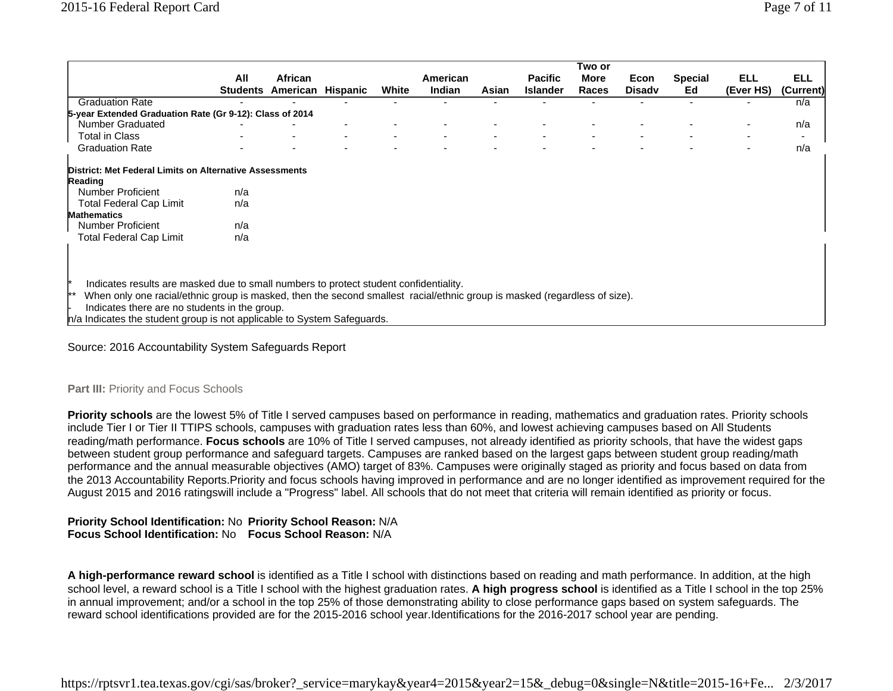|                                                                                                                                                                            |     |                          |          |       |          |       |                 | i wo or     |               |                |            |                          |
|----------------------------------------------------------------------------------------------------------------------------------------------------------------------------|-----|--------------------------|----------|-------|----------|-------|-----------------|-------------|---------------|----------------|------------|--------------------------|
|                                                                                                                                                                            | All | <b>African</b>           |          |       | American |       | <b>Pacific</b>  | <b>More</b> | Econ          | <b>Special</b> | <b>ELL</b> | <b>ELL</b>               |
|                                                                                                                                                                            |     | <b>Students American</b> | Hispanic | White | Indian   | Asian | <b>Islander</b> | Races       | <b>Disady</b> | Ed             | (Ever HS)  | (Current)                |
| <b>Graduation Rate</b>                                                                                                                                                     |     |                          |          |       |          |       |                 |             |               |                |            | n/a                      |
| 5-year Extended Graduation Rate (Gr 9-12): Class of 2014                                                                                                                   |     |                          |          |       |          |       |                 |             |               |                |            |                          |
| Number Graduated                                                                                                                                                           |     |                          |          |       |          |       |                 |             |               |                |            | n/a                      |
| Total in Class                                                                                                                                                             |     |                          |          |       |          |       |                 |             |               |                |            | $\overline{\phantom{0}}$ |
| <b>Graduation Rate</b>                                                                                                                                                     |     |                          |          |       |          |       |                 |             |               |                |            | n/a                      |
| District: Met Federal Limits on Alternative Assessments                                                                                                                    |     |                          |          |       |          |       |                 |             |               |                |            |                          |
| Reading                                                                                                                                                                    |     |                          |          |       |          |       |                 |             |               |                |            |                          |
| <b>Number Proficient</b>                                                                                                                                                   | n/a |                          |          |       |          |       |                 |             |               |                |            |                          |
| Total Federal Cap Limit                                                                                                                                                    | n/a |                          |          |       |          |       |                 |             |               |                |            |                          |
| <b>Mathematics</b>                                                                                                                                                         |     |                          |          |       |          |       |                 |             |               |                |            |                          |
| <b>Number Proficient</b>                                                                                                                                                   | n/a |                          |          |       |          |       |                 |             |               |                |            |                          |
| <b>Total Federal Cap Limit</b>                                                                                                                                             | n/a |                          |          |       |          |       |                 |             |               |                |            |                          |
|                                                                                                                                                                            |     |                          |          |       |          |       |                 |             |               |                |            |                          |
|                                                                                                                                                                            |     |                          |          |       |          |       |                 |             |               |                |            |                          |
| Indicates results are masked due to small numbers to protect student confidentiality.                                                                                      |     |                          |          |       |          |       |                 |             |               |                |            |                          |
| When only one racial/ethnic group is masked, then the second smallest racial/ethnic group is masked (regardless of size).<br>Indicates there are no students in the group. |     |                          |          |       |          |       |                 |             |               |                |            |                          |
| $n/a$ Indicates the student group is not applicable to System Safeguards.                                                                                                  |     |                          |          |       |          |       |                 |             |               |                |            |                          |

Source: 2016 Accountability System Safeguards Report

### **Part III: Priority and Focus Schools**

**Priority schools** are the lowest 5% of Title I served campuses based on performance in reading, mathematics and graduation rates. Priority schools include Tier I or Tier II TTIPS schools, campuses with graduation rates less than 60%, and lowest achieving campuses based on All Students reading/math performance. **Focus schools** are 10% of Title I served campuses, not already identified as priority schools, that have the widest gaps between student group performance and safeguard targets. Campuses are ranked based on the largest gaps between student group reading/math performance and the annual measurable objectives (AMO) target of 83%. Campuses were originally staged as priority and focus based on data from the 2013 Accountability Reports.Priority and focus schools having improved in performance and are no longer identified as improvement required for the August 2015 and 2016 ratingswill include a "Progress" label. All schools that do not meet that criteria will remain identified as priority or focus.

# **Priority School Identification:** No **Priority School Reason:** N/A **Focus School Identification:** No**Focus School Reason:** N/A

**A high-performance reward school** is identified as a Title I school with distinctions based on reading and math performance. In addition, at the high school level, a reward school is a Title I school with the highest graduation rates. **A high progress school** is identified as a Title I school in the top 25% in annual improvement; and/or a school in the top 25% of those demonstrating ability to close performance gaps based on system safeguards. The reward school identifications provided are for the 2015-2016 school year.Identifications for the 2016-2017 school year are pending.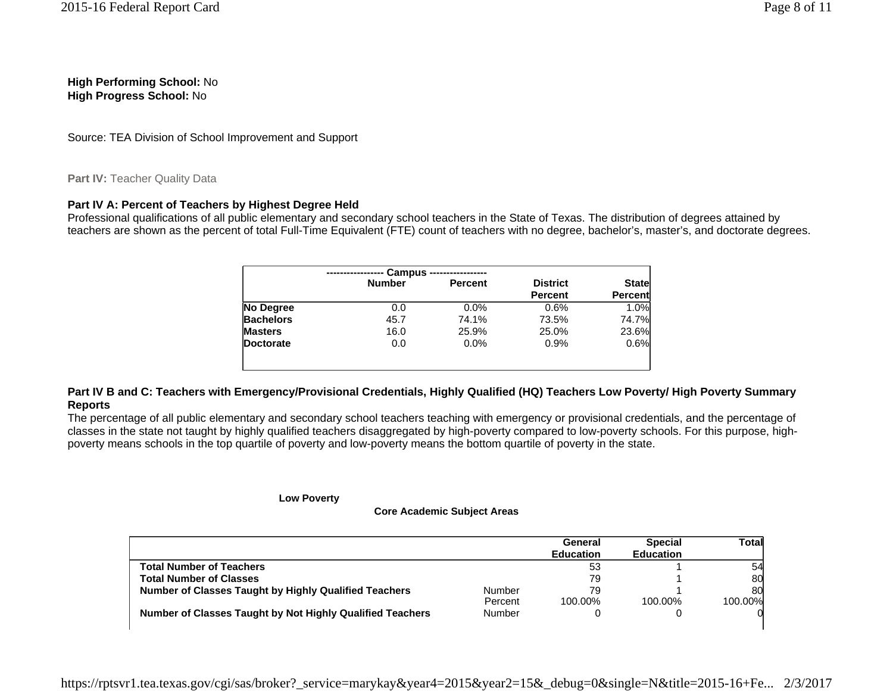**High Performing School:** No **High Progress School:** No

Source: TEA Division of School Improvement and Support

# Part IV: Teacher Quality Data

# **Part IV A: Percent of Teachers by Highest Degree Held**

Professional qualifications of all public elementary and secondary school teachers in the State of Texas. The distribution of degrees attained by teachers are shown as the percent of total Full-Time Equivalent (FTE) count of teachers with no degree, bachelor's, master's, and doctorate degrees.

|                  | <b>Campus</b> |                |                 |                |
|------------------|---------------|----------------|-----------------|----------------|
|                  | <b>Number</b> | <b>Percent</b> | <b>District</b> | State          |
|                  |               |                | <b>Percent</b>  | <b>Percent</b> |
| No Degree        | 0.0           | 0.0%           | 0.6%            | 1.0%           |
| <b>Bachelors</b> | 45.7          | 74.1%          | 73.5%           | 74.7%          |
| <b>Masters</b>   | 16.0          | 25.9%          | 25.0%           | 23.6%          |
| Doctorate        | 0.0           | 0.0%           | 0.9%            | 0.6%           |
|                  |               |                |                 |                |
|                  |               |                |                 |                |

# **Part IV B and C: Teachers with Emergency/Provisional Credentials, Highly Qualified (HQ) Teachers Low Poverty/ High Poverty Summary Reports**

The percentage of all public elementary and secondary school teachers teaching with emergency or provisional credentials, and the percentage of classes in the state not taught by highly qualified teachers disaggregated by high-poverty compared to low-poverty schools. For this purpose, highpoverty means schools in the top quartile of poverty and low-poverty means the bottom quartile of poverty in the state.

#### **Low Poverty**

#### **Core Academic Subject Areas**

|                                                              |         | General<br><b>Education</b> | <b>Special</b><br><b>Education</b> | Total   |
|--------------------------------------------------------------|---------|-----------------------------|------------------------------------|---------|
| <b>Total Number of Teachers</b>                              |         | 53                          |                                    | 54      |
| <b>Total Number of Classes</b>                               |         | 79                          |                                    | 80      |
| <b>Number of Classes Taught by Highly Qualified Teachers</b> | Number  | 79                          |                                    | 80      |
|                                                              | Percent | 100.00%                     | 100.00%                            | 100.00% |
| Number of Classes Taught by Not Highly Qualified Teachers    | Number  |                             |                                    |         |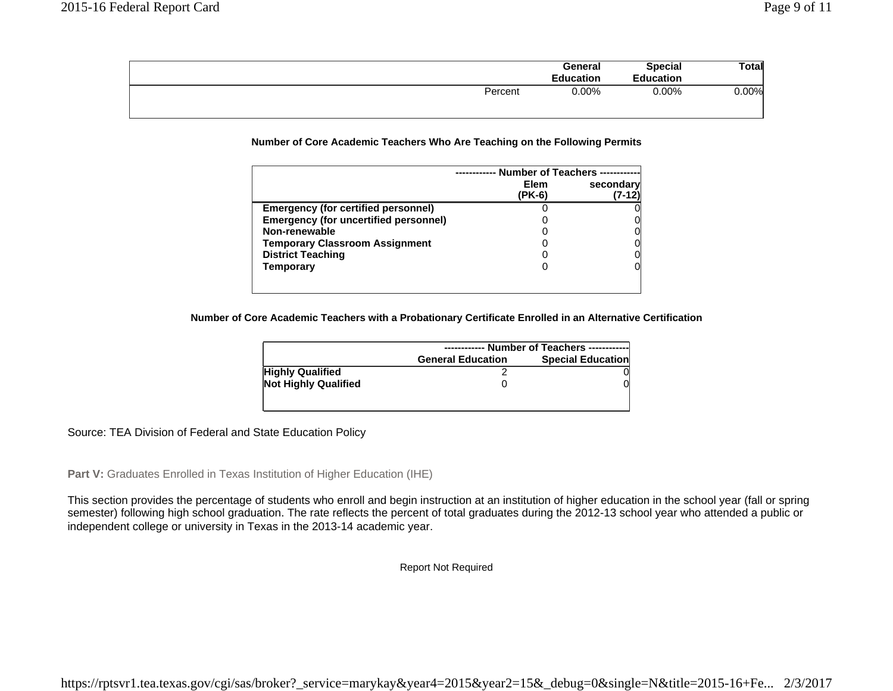| General          | <b>Special</b>   | Total    |
|------------------|------------------|----------|
| <b>Education</b> | <b>Education</b> |          |
| $0.00\%$         | $0.00\%$         | $0.00\%$ |
|                  |                  |          |
|                  | Percent          |          |

#### **Number of Core Academic Teachers Who Are Teaching on the Following Permits**

|                                              | <b>Number of Teachers</b> |           |  |
|----------------------------------------------|---------------------------|-----------|--|
|                                              | <b>Elem</b><br>(PK-6)     | secondary |  |
| <b>Emergency (for certified personnel)</b>   |                           |           |  |
| <b>Emergency (for uncertified personnel)</b> |                           |           |  |
| Non-renewable                                |                           |           |  |
| <b>Temporary Classroom Assignment</b>        |                           |           |  |
| <b>District Teaching</b>                     |                           |           |  |
| Temporary                                    |                           |           |  |
|                                              |                           |           |  |

#### **Number of Core Academic Teachers with a Probationary Certificate Enrolled in an Alternative Certification**

|                             | ----------- Number of Teachers ------------          |  |  |
|-----------------------------|------------------------------------------------------|--|--|
|                             | <b>Special Education</b><br><b>General Education</b> |  |  |
| <b>Highly Qualified</b>     |                                                      |  |  |
| <b>Not Highly Qualified</b> |                                                      |  |  |
|                             |                                                      |  |  |
|                             |                                                      |  |  |

### Source: TEA Division of Federal and State Education Policy

Part V: Graduates Enrolled in Texas Institution of Higher Education (IHE)

This section provides the percentage of students who enroll and begin instruction at an institution of higher education in the school year (fall or spring semester) following high school graduation. The rate reflects the percent of total graduates during the 2012-13 school year who attended a public or independent college or university in Texas in the 2013-14 academic year.

Report Not Required

https://rptsvr1.tea.texas.gov/cgi/sas/broker?\_service=marykay&year4=2015&year2=15&\_debug=0&single=N&title=2015-16+Fe... 2/3/2017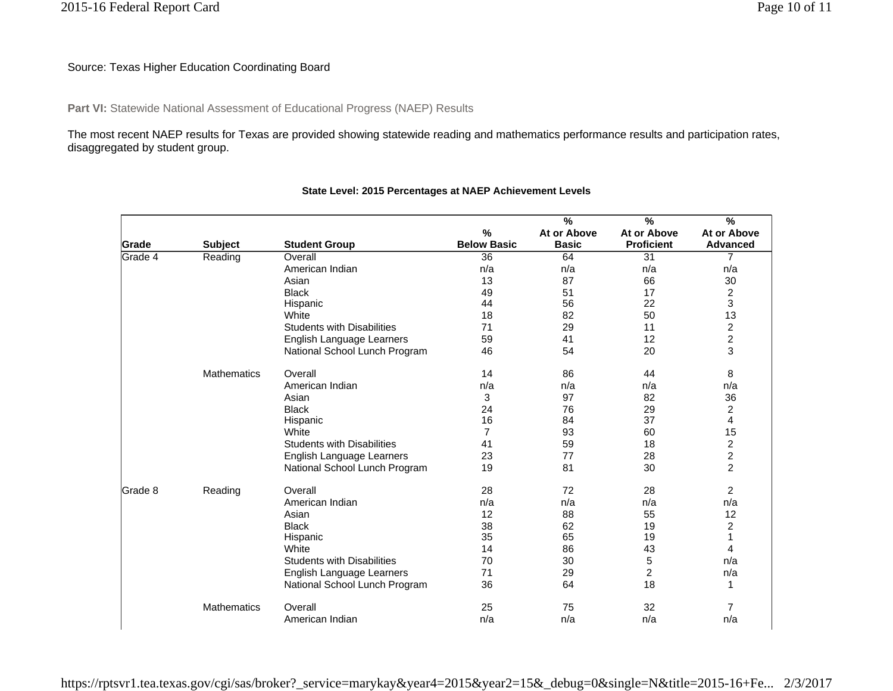# Source: Texas Higher Education Coordinating Board

Part VI: Statewide National Assessment of Educational Progress (NAEP) Results

The most recent NAEP results for Texas are provided showing statewide reading and mathematics performance results and participation rates, disaggregated by student group.

|                |                    |                                   |                    | $\overline{\frac{9}{6}}$ | $\overline{\frac{9}{6}}$ | $\overline{\frac{9}{6}}$ |
|----------------|--------------------|-----------------------------------|--------------------|--------------------------|--------------------------|--------------------------|
|                |                    |                                   | $\%$               | At or Above              | At or Above              | At or Above              |
| Grade          | <b>Subject</b>     | <b>Student Group</b>              | <b>Below Basic</b> | <b>Basic</b>             | <b>Proficient</b>        | <b>Advanced</b>          |
| <b>Grade 4</b> | Reading            | Overall                           | $\overline{36}$    | 64                       | $\overline{31}$          | $\overline{7}$           |
|                |                    | American Indian                   | n/a                | n/a                      | n/a                      | n/a                      |
|                |                    | Asian                             | 13                 | 87                       | 66                       | 30                       |
|                |                    | <b>Black</b>                      | 49                 | 51                       | 17                       | 2                        |
|                |                    | Hispanic                          | 44                 | 56                       | 22                       | 3                        |
|                |                    | White                             | 18                 | 82                       | 50                       | 13                       |
|                |                    | <b>Students with Disabilities</b> | 71                 | 29                       | 11                       | $\overline{c}$           |
|                |                    | English Language Learners         | 59                 | 41                       | 12                       | $\overline{\mathbf{c}}$  |
|                |                    | National School Lunch Program     | 46                 | 54                       | 20                       | 3                        |
|                | <b>Mathematics</b> | Overall                           | 14                 | 86                       | 44                       | 8                        |
|                |                    | American Indian                   | n/a                | n/a                      | n/a                      | n/a                      |
|                |                    | Asian                             | 3                  | 97                       | 82                       | 36                       |
|                |                    | <b>Black</b>                      | 24                 | 76                       | 29                       | $\overline{\mathbf{c}}$  |
|                |                    | Hispanic                          | 16                 | 84                       | 37                       | $\overline{\mathbf{4}}$  |
|                |                    | White                             | $\overline{7}$     | 93                       | 60                       | 15                       |
|                |                    | <b>Students with Disabilities</b> | 41                 | 59                       | 18                       | $\frac{2}{2}$            |
|                |                    | English Language Learners         | 23                 | 77                       | 28                       |                          |
|                |                    | National School Lunch Program     | 19                 | 81                       | 30                       | $\overline{2}$           |
| lGrade 8       | Reading            | Overall                           | 28                 | 72                       | 28                       | $\overline{2}$           |
|                |                    | American Indian                   | n/a                | n/a                      | n/a                      | n/a                      |
|                |                    | Asian                             | 12                 | 88                       | 55                       | 12                       |
|                |                    | <b>Black</b>                      | 38                 | 62                       | 19                       | $\overline{c}$           |
|                |                    | Hispanic                          | 35                 | 65                       | 19                       | $\mathbf{1}$             |
|                |                    | White                             | 14                 | 86                       | 43                       | 4                        |
|                |                    | <b>Students with Disabilities</b> | 70                 | 30                       | 5                        | n/a                      |
|                |                    | English Language Learners         | 71                 | 29                       | $\overline{c}$           | n/a                      |
|                |                    | National School Lunch Program     | 36                 | 64                       | 18                       | 1                        |
|                | <b>Mathematics</b> | Overall                           | 25                 | 75                       | 32                       | $\overline{7}$           |
|                |                    | American Indian                   | n/a                | n/a                      | n/a                      | n/a                      |

# **State Level: 2015 Percentages at NAEP Achievement Levels**